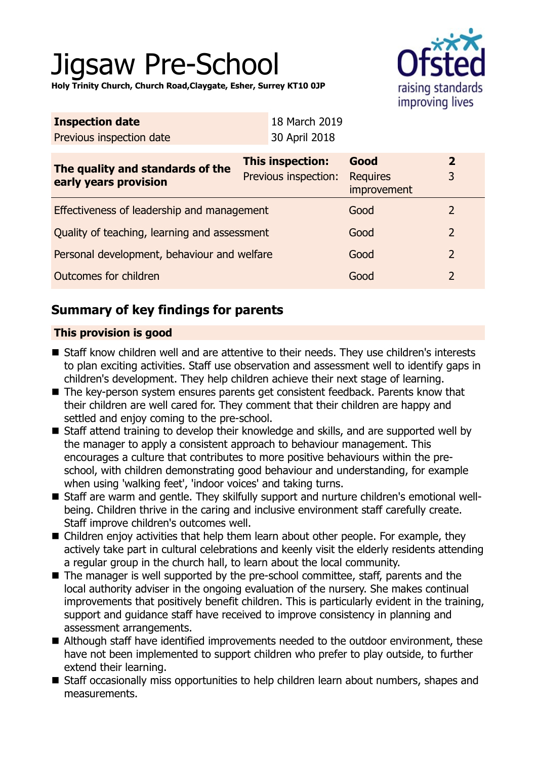# Jigsaw Pre-School

raising standards improving lives

**Holy Trinity Church, Church Road,Claygate, Esher, Surrey KT10 0JP**

| <b>Inspection date</b>                                    | 18 March 2019                                   |                                        |                     |
|-----------------------------------------------------------|-------------------------------------------------|----------------------------------------|---------------------|
| Previous inspection date                                  | 30 April 2018                                   |                                        |                     |
| The quality and standards of the<br>early years provision | <b>This inspection:</b><br>Previous inspection: | Good<br><b>Requires</b><br>improvement | $\overline{2}$<br>3 |
| Effectiveness of leadership and management                |                                                 | Good                                   | $\overline{2}$      |
| Quality of teaching, learning and assessment              |                                                 | Good                                   | $\overline{2}$      |
| Personal development, behaviour and welfare               |                                                 | Good                                   | $\overline{2}$      |
| <b>Outcomes for children</b>                              |                                                 | Good                                   | $\overline{2}$      |

## **Summary of key findings for parents**

## **This provision is good**

- Staff know children well and are attentive to their needs. They use children's interests to plan exciting activities. Staff use observation and assessment well to identify gaps in children's development. They help children achieve their next stage of learning.
- The key-person system ensures parents get consistent feedback. Parents know that their children are well cared for. They comment that their children are happy and settled and enjoy coming to the pre-school.
- Staff attend training to develop their knowledge and skills, and are supported well by the manager to apply a consistent approach to behaviour management. This encourages a culture that contributes to more positive behaviours within the preschool, with children demonstrating good behaviour and understanding, for example when using 'walking feet', 'indoor voices' and taking turns.
- Staff are warm and gentle. They skilfully support and nurture children's emotional wellbeing. Children thrive in the caring and inclusive environment staff carefully create. Staff improve children's outcomes well.
- Children enjoy activities that help them learn about other people. For example, they actively take part in cultural celebrations and keenly visit the elderly residents attending a regular group in the church hall, to learn about the local community.
- $\blacksquare$  The manager is well supported by the pre-school committee, staff, parents and the local authority adviser in the ongoing evaluation of the nursery. She makes continual improvements that positively benefit children. This is particularly evident in the training, support and guidance staff have received to improve consistency in planning and assessment arrangements.
- Although staff have identified improvements needed to the outdoor environment, these have not been implemented to support children who prefer to play outside, to further extend their learning.
- Staff occasionally miss opportunities to help children learn about numbers, shapes and measurements.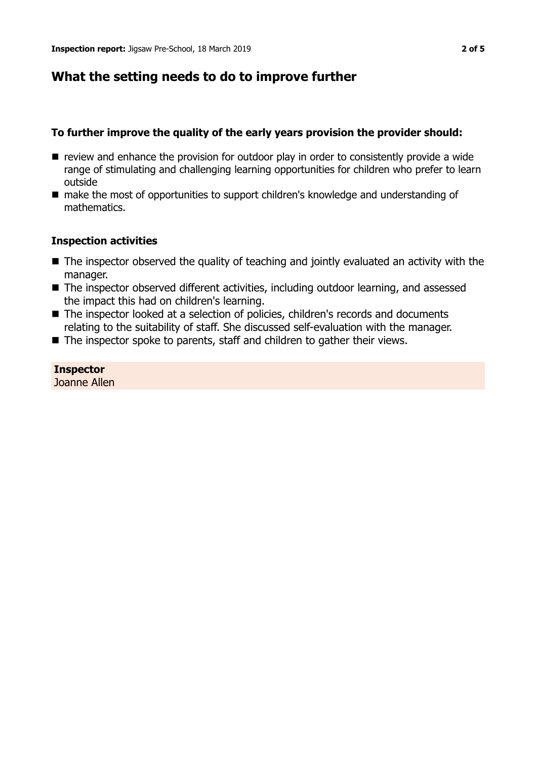## **What the setting needs to do to improve further**

## **To further improve the quality of the early years provision the provider should:**

- $\blacksquare$  review and enhance the provision for outdoor play in order to consistently provide a wide range of stimulating and challenging learning opportunities for children who prefer to learn outside
- make the most of opportunities to support children's knowledge and understanding of mathematics.

### **Inspection activities**

- $\blacksquare$  The inspector observed the quality of teaching and jointly evaluated an activity with the manager.
- The inspector observed different activities, including outdoor learning, and assessed the impact this had on children's learning.
- The inspector looked at a selection of policies, children's records and documents relating to the suitability of staff. She discussed self-evaluation with the manager.
- $\blacksquare$  The inspector spoke to parents, staff and children to gather their views.

#### **Inspector** Joanne Allen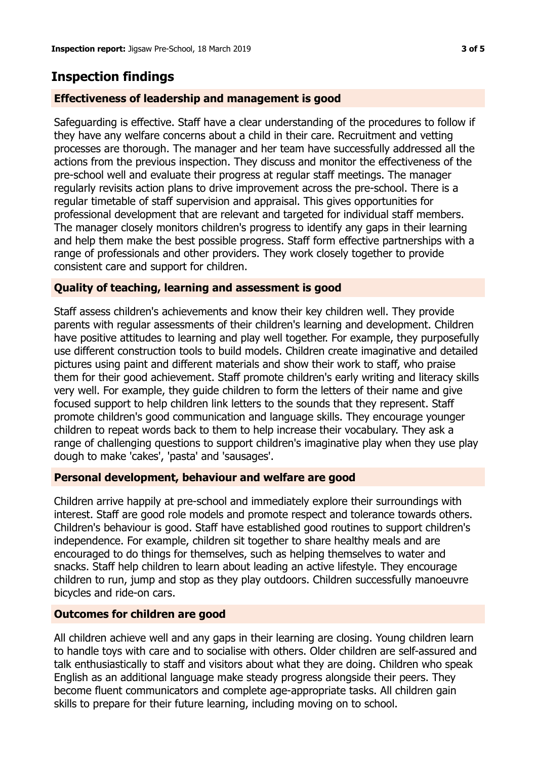## **Inspection findings**

## **Effectiveness of leadership and management is good**

Safeguarding is effective. Staff have a clear understanding of the procedures to follow if they have any welfare concerns about a child in their care. Recruitment and vetting processes are thorough. The manager and her team have successfully addressed all the actions from the previous inspection. They discuss and monitor the effectiveness of the pre-school well and evaluate their progress at regular staff meetings. The manager regularly revisits action plans to drive improvement across the pre-school. There is a regular timetable of staff supervision and appraisal. This gives opportunities for professional development that are relevant and targeted for individual staff members. The manager closely monitors children's progress to identify any gaps in their learning and help them make the best possible progress. Staff form effective partnerships with a range of professionals and other providers. They work closely together to provide consistent care and support for children.

## **Quality of teaching, learning and assessment is good**

Staff assess children's achievements and know their key children well. They provide parents with regular assessments of their children's learning and development. Children have positive attitudes to learning and play well together. For example, they purposefully use different construction tools to build models. Children create imaginative and detailed pictures using paint and different materials and show their work to staff, who praise them for their good achievement. Staff promote children's early writing and literacy skills very well. For example, they guide children to form the letters of their name and give focused support to help children link letters to the sounds that they represent. Staff promote children's good communication and language skills. They encourage younger children to repeat words back to them to help increase their vocabulary. They ask a range of challenging questions to support children's imaginative play when they use play dough to make 'cakes', 'pasta' and 'sausages'.

### **Personal development, behaviour and welfare are good**

Children arrive happily at pre-school and immediately explore their surroundings with interest. Staff are good role models and promote respect and tolerance towards others. Children's behaviour is good. Staff have established good routines to support children's independence. For example, children sit together to share healthy meals and are encouraged to do things for themselves, such as helping themselves to water and snacks. Staff help children to learn about leading an active lifestyle. They encourage children to run, jump and stop as they play outdoors. Children successfully manoeuvre bicycles and ride-on cars.

### **Outcomes for children are good**

All children achieve well and any gaps in their learning are closing. Young children learn to handle toys with care and to socialise with others. Older children are self-assured and talk enthusiastically to staff and visitors about what they are doing. Children who speak English as an additional language make steady progress alongside their peers. They become fluent communicators and complete age-appropriate tasks. All children gain skills to prepare for their future learning, including moving on to school.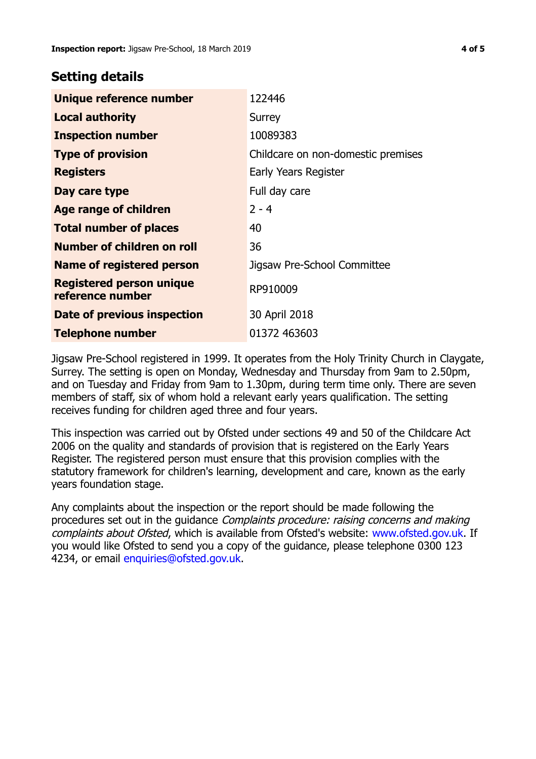## **Setting details**

| Unique reference number                             | 122446                             |
|-----------------------------------------------------|------------------------------------|
| <b>Local authority</b>                              | Surrey                             |
| <b>Inspection number</b>                            | 10089383                           |
| <b>Type of provision</b>                            | Childcare on non-domestic premises |
| <b>Registers</b>                                    | Early Years Register               |
| Day care type                                       | Full day care                      |
| <b>Age range of children</b>                        | $2 - 4$                            |
| <b>Total number of places</b>                       | 40                                 |
| Number of children on roll                          | 36                                 |
| <b>Name of registered person</b>                    | Jigsaw Pre-School Committee        |
| <b>Registered person unique</b><br>reference number | RP910009                           |
| Date of previous inspection                         | 30 April 2018                      |
| <b>Telephone number</b>                             | 01372 463603                       |

Jigsaw Pre-School registered in 1999. It operates from the Holy Trinity Church in Claygate, Surrey. The setting is open on Monday, Wednesday and Thursday from 9am to 2.50pm, and on Tuesday and Friday from 9am to 1.30pm, during term time only. There are seven members of staff, six of whom hold a relevant early years qualification. The setting receives funding for children aged three and four years.

This inspection was carried out by Ofsted under sections 49 and 50 of the Childcare Act 2006 on the quality and standards of provision that is registered on the Early Years Register. The registered person must ensure that this provision complies with the statutory framework for children's learning, development and care, known as the early years foundation stage.

Any complaints about the inspection or the report should be made following the procedures set out in the quidance *Complaints procedure: raising concerns and making* complaints about Ofsted, which is available from Ofsted's website: www.ofsted.gov.uk. If you would like Ofsted to send you a copy of the guidance, please telephone 0300 123 4234, or email [enquiries@ofsted.gov.uk.](mailto:enquiries@ofsted.gov.uk)